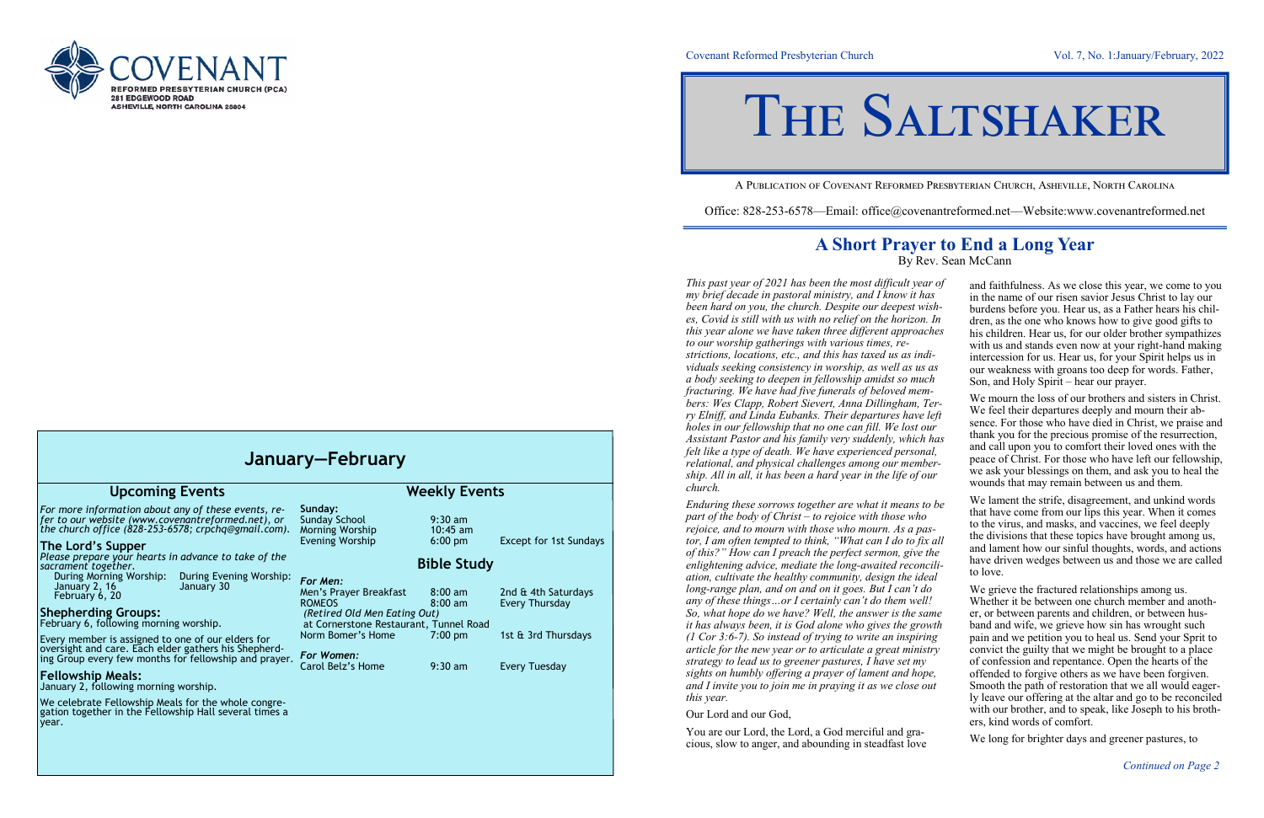

## Covenant Reformed Presbyterian Church Vol. 7, No. 1:January/February, 2022

A Publication of Covenant Reformed Presbyterian Church, Asheville, North Carolina

Office: 828-253-6578—Email: office@covenantreformed.net—Website:www.covenantreformed.net

## **A Short Prayer to End a Long Year**

By Rev. Sean McCann

*This past year of 2021 has been the most difficult year my brief decade in pastoral ministry, and I know it ha* been hard on you, the church. Despite our deepest wish*es, Covid is still with us with no relief on the horizon. this year alone we have taken three different approach to our worship gatherings with various times, restrictions, locations, etc., and this has taxed us as individuals seeking consistency in worship, as well as us a body seeking to deepen in fellowship amidst so much fracturing. We have had five funerals of beloved mem*bers: Wes Clapp, Robert Sievert, Anna Dillingham, T *ry Elniff, and Linda Eubanks. Their departures have holes in our fellowship that no one can fill. We lost our Assistant Pastor and his family very suddenly, which has felt like a type of death. We have experienced personal relational, and physical challenges among our membe ship. All in all, it has been a hard year in the life of or church.*

*Enduring these sorrows together are what it means to be part of the body of Christ – to rejoice with those who rejoice, and to mourn with those who mourn. As a pastor, I am often tempted to think, "What can I do to fix of this?" How can I preach the perfect sermon, give the enlightening advice, mediate the long-awaited reconcilition ation, cultivate the healthy community, design the ideal ation, cultivate the healthy community, design the idea long-range plan, and on and on it goes. But I can't do any of these things…or I certainly can't do them well! So, what hope do we have? Well, the answer is the same of the same formature and*  $\theta$ *it has always been, it is God alone who gives the grow (1 Cor 3:6-7). So instead of trying to write an inspiring article for the new year or to articulate a great minist. strategy to lead us to greener pastures, I have set my sights on humbly offering a prayer of lament and hope, and I invite you to join me in praying it as we close of this year.*

Our Lord and our God,

You are our Lord, the Lord, a God merciful and gracious, slow to anger, and abounding in steadfast love

| r of<br>lS<br>sh-<br>In<br>hes<br>i-<br>as<br>h          | and faithfulness. As we close this year, we come to you<br>in the name of our risen savior Jesus Christ to lay our<br>burdens before you. Hear us, as a Father hears his chil-<br>dren, as the one who knows how to give good gifts to<br>his children. Hear us, for our older brother sympathizes<br>with us and stands even now at your right-hand making<br>intercession for us. Hear us, for your Spirit helps us in<br>our weakness with groans too deep for words. Father,<br>Son, and Holy Spirit – hear our prayer.                                                                                                                                                  |
|----------------------------------------------------------|------------------------------------------------------------------------------------------------------------------------------------------------------------------------------------------------------------------------------------------------------------------------------------------------------------------------------------------------------------------------------------------------------------------------------------------------------------------------------------------------------------------------------------------------------------------------------------------------------------------------------------------------------------------------------|
| ļ-<br>'er-<br>left<br>ır<br>has<br>ıl,<br>er-<br>ur      | We mourn the loss of our brothers and sisters in Christ.<br>We feel their departures deeply and mourn their ab-<br>sence. For those who have died in Christ, we praise and<br>thank you for the precious promise of the resurrection,<br>and call upon you to comfort their loved ones with the<br>peace of Christ. For those who have left our fellowship,<br>we ask your blessings on them, and ask you to heal the<br>wounds that may remain between us and them.                                                                                                                                                                                                         |
| o be<br>$S-$<br>all:<br>he<br>ili-<br>al                 | We lament the strife, disagreement, and unkind words<br>that have come from our lips this year. When it comes<br>to the virus, and masks, and vaccines, we feel deeply<br>the divisions that these topics have brought among us,<br>and lament how our sinful thoughts, words, and actions<br>have driven wedges between us and those we are called<br>to love.                                                                                                                                                                                                                                                                                                              |
| $\mathfrak z$<br>ļ<br>me<br>vth<br>ıg<br>try<br>e,<br>ut | We grieve the fractured relationships among us.<br>Whether it be between one church member and anoth-<br>er, or between parents and children, or between hus-<br>band and wife, we grieve how sin has wrought such<br>pain and we petition you to heal us. Send your Sprit to<br>convict the guilty that we might be brought to a place<br>of confession and repentance. Open the hearts of the<br>offended to forgive others as we have been forgiven.<br>Smooth the path of restoration that we all would eager-<br>ly leave our offering at the altar and go to be reconciled<br>with our brother, and to speak, like Joseph to his broth-<br>ers, kind words of comfort. |

We long for brighter days and greener pastures, to

| January-February                                                                                                                                                                                                                                                                                                |                                                                                                                                                                  |                                                                           |                                                                     |  |  |
|-----------------------------------------------------------------------------------------------------------------------------------------------------------------------------------------------------------------------------------------------------------------------------------------------------------------|------------------------------------------------------------------------------------------------------------------------------------------------------------------|---------------------------------------------------------------------------|---------------------------------------------------------------------|--|--|
| <b>Upcoming Events</b>                                                                                                                                                                                                                                                                                          | <b>Weekly Events</b>                                                                                                                                             |                                                                           |                                                                     |  |  |
| For more information about any of these events, re-<br>fer to our website (www.covenantreformed.net), or<br>the church office (828-253-6578; crpchq@gmail.com).<br>The Lord's Supper<br>Please prepare your hearts in advance to take of the                                                                    | Sunday:<br><b>Sunday School</b><br>Morning Worship<br><b>Evening Worship</b>                                                                                     | $9:30$ am<br>$10:45$ am<br>$6:00$ pm                                      | <b>Except for 1st Sundays</b>                                       |  |  |
| sacrament together.<br>During Morning Worship:<br>During Evening Worship:<br>January 30<br>January 2, 16<br>February 6, 20<br><b>Shepherding Groups:</b><br>February 6, following morning worship.<br>Every member is assigned to one of our elders for<br>oversight and care. Each elder gathers his Shepherd- | For Men:<br>Men's Prayer Breakfast<br><b>ROMEOS</b><br>(Retired Old Men Eating Out)<br>at Cornerstone Restaurant, Tunnel Road<br>Norm Bomer's Home<br>For Women: | <b>Bible Study</b><br>$8:00 \text{ am}$<br>$8:00 \text{ am}$<br>$7:00$ pm | 2nd & 4th Saturdays<br><b>Every Thursday</b><br>1st & 3rd Thursdays |  |  |
| ing Group every few months for fellowship and prayer.<br><b>Fellowship Meals:</b><br>January 2, following morning worship.<br>We celebrate Fellowship Meals for the whole congre-<br>gation together in the Fellowship Hall several times a<br>year.                                                            | Carol Belz's Home                                                                                                                                                | $9:30$ am                                                                 | Every Tuesday                                                       |  |  |
|                                                                                                                                                                                                                                                                                                                 |                                                                                                                                                                  |                                                                           |                                                                     |  |  |

# THE SALTSHAKER